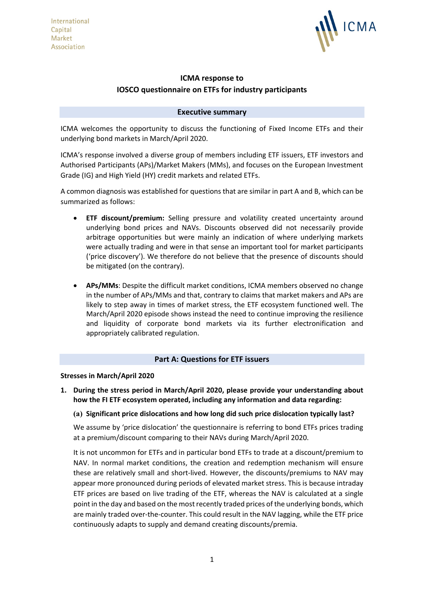

# **ICMA response to IOSCO questionnaire on ETFs for industry participants**

## **Executive summary**

ICMA welcomes the opportunity to discuss the functioning of Fixed Income ETFs and their underlying bond markets in March/April 2020.

ICMA's response involved a diverse group of members including ETF issuers, ETF investors and Authorised Participants (APs)/Market Makers (MMs), and focuses on the European Investment Grade (IG) and High Yield (HY) credit markets and related ETFs.

A common diagnosis was established for questions that are similar in part A and B, which can be summarized as follows:

- **ETF discount/premium:** Selling pressure and volatility created uncertainty around underlying bond prices and NAVs. Discounts observed did not necessarily provide arbitrage opportunities but were mainly an indication of where underlying markets were actually trading and were in that sense an important tool for market participants ('price discovery'). We therefore do not believe that the presence of discounts should be mitigated (on the contrary).
- **APs/MMs**: Despite the difficult market conditions, ICMA members observed no change in the number of APs/MMs and that, contrary to claims that market makers and APs are likely to step away in times of market stress, the ETF ecosystem functioned well. The March/April 2020 episode shows instead the need to continue improving the resilience and liquidity of corporate bond markets via its further electronification and appropriately calibrated regulation.

# **Part A: Questions for ETF issuers**

## **Stresses in March/April 2020**

**1. During the stress period in March/April 2020, please provide your understanding about how the FI ETF ecosystem operated, including any information and data regarding:**

## **(a) Significant price dislocations and how long did such price dislocation typically last?**

We assume by 'price dislocation' the questionnaire is referring to bond ETFs prices trading at a premium/discount comparing to their NAVs during March/April 2020.

It is not uncommon for ETFs and in particular bond ETFs to trade at a discount/premium to NAV. In normal market conditions, the creation and redemption mechanism will ensure these are relatively small and short-lived. However, the discounts/premiums to NAV may appear more pronounced during periods of elevated market stress. This is because intraday ETF prices are based on live trading of the ETF, whereas the NAV is calculated at a single point in the day and based on the most recently traded prices of the underlying bonds, which are mainly traded over-the-counter. This could result in the NAV lagging, while the ETF price continuously adapts to supply and demand creating discounts/premia.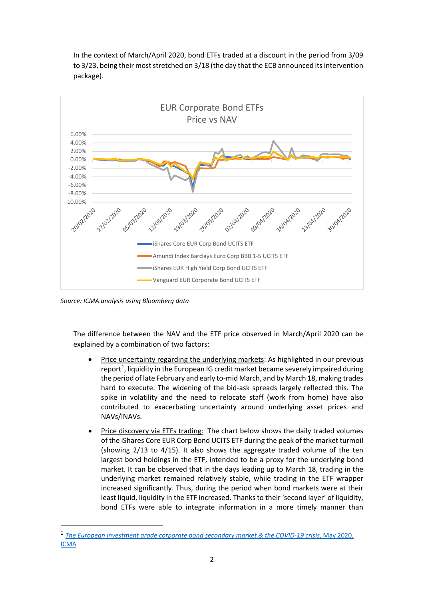In the context of March/April 2020, bond ETFs traded at a discount in the period from 3/09 to 3/23, being their most stretched on 3/18 (the day that the ECB announced its intervention package).



*Source: ICMA analysis using Bloomberg data*

The difference between the NAV and the ETF price observed in March/April 2020 can be explained by a combination of two factors:

- Price uncertainty regarding the underlying markets: As highlighted in our previous report<sup>[1](#page-1-0)</sup>, liquidity in the European IG credit market became severely impaired during the period of late February and early to-mid March, and by March 18, making trades hard to execute. The widening of the bid-ask spreads largely reflected this. The spike in volatility and the need to relocate staff (work from home) have also contributed to exacerbating uncertainty around underlying asset prices and NAVs/iNAVs.
- Price discovery via ETFs trading: The chart below shows the daily traded volumes of the iShares Core EUR Corp Bond UCITS ETF during the peak of the market turmoil (showing 2/13 to 4/15). It also shows the aggregate traded volume of the ten largest bond holdings in the ETF, intended to be a proxy for the underlying bond market. It can be observed that in the days leading up to March 18, trading in the underlying market remained relatively stable, while trading in the ETF wrapper increased significantly. Thus, during the period when bond markets were at their least liquid, liquidity in the ETF increased. Thanks to their 'second layer' of liquidity, bond ETFs were able to integrate information in a more timely manner than

<span id="page-1-0"></span><sup>&</sup>lt;sup>1</sup> [The European investment grade corporate bond secondary market & the COVID-19 crisis](https://www.icmagroup.org/Regulatory-Policy-and-Market-Practice/Secondary-Markets/market-liquidity/studies-and-papers/), May 2020, [ICMA](https://www.icmagroup.org/Regulatory-Policy-and-Market-Practice/Secondary-Markets/market-liquidity/studies-and-papers/)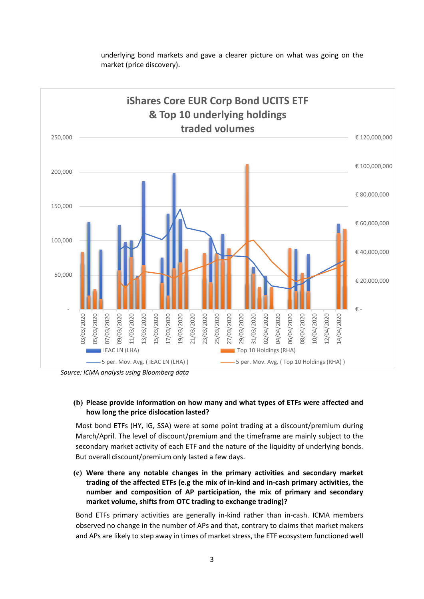

underlying bond markets and gave a clearer picture on what was going on the market (price discovery).

*Source: ICMA analysis using Bloomberg data*

## **(b) Please provide information on how many and what types of ETFs were affected and how long the price dislocation lasted?**

Most bond ETFs (HY, IG, SSA) were at some point trading at a discount/premium during March/April. The level of discount/premium and the timeframe are mainly subject to the secondary market activity of each ETF and the nature of the liquidity of underlying bonds. But overall discount/premium only lasted a few days.

**(c) Were there any notable changes in the primary activities and secondary market trading of the affected ETFs (e.g the mix of in-kind and in-cash primary activities, the number and composition of AP participation, the mix of primary and secondary market volume, shifts from OTC trading to exchange trading)?**

Bond ETFs primary activities are generally in-kind rather than in-cash. ICMA members observed no change in the number of APs and that, contrary to claims that market makers and APs are likely to step away in times of market stress, the ETF ecosystem functioned well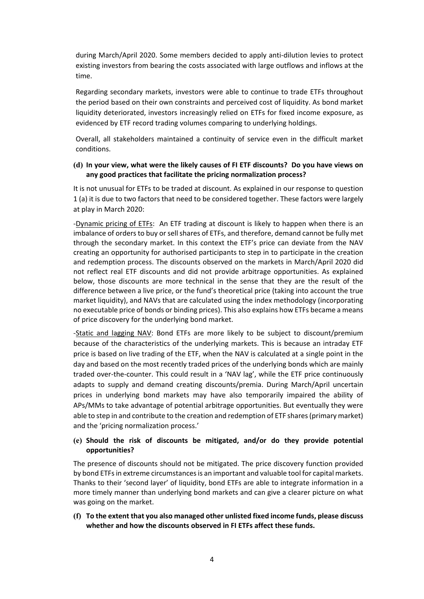during March/April 2020. Some members decided to apply anti-dilution levies to protect existing investors from bearing the costs associated with large outflows and inflows at the time.

Regarding secondary markets, investors were able to continue to trade ETFs throughout the period based on their own constraints and perceived cost of liquidity. As bond market liquidity deteriorated, investors increasingly relied on ETFs for fixed income exposure, as evidenced by ETF record trading volumes comparing to underlying holdings.

Overall, all stakeholders maintained a continuity of service even in the difficult market conditions.

## **(d) In your view, what were the likely causes of FI ETF discounts? Do you have views on any good practices that facilitate the pricing normalization process?**

It is not unusual for ETFs to be traded at discount. As explained in our response to question 1 (a) it is due to two factors that need to be considered together. These factors were largely at play in March 2020:

-Dynamic pricing of ETFs: An ETF trading at discount is likely to happen when there is an imbalance of orders to buy or sell shares of ETFs, and therefore, demand cannot be fully met through the secondary market. In this context the ETF's price can deviate from the NAV creating an opportunity for authorised participants to step in to participate in the creation and redemption process. The discounts observed on the markets in March/April 2020 did not reflect real ETF discounts and did not provide arbitrage opportunities. As explained below, those discounts are more technical in the sense that they are the result of the difference between a live price, or the fund's theoretical price (taking into account the true market liquidity), and NAVs that are calculated using the index methodology (incorporating no executable price of bonds or binding prices). This also explains how ETFs became a means of price discovery for the underlying bond market.

-Static and lagging NAV: Bond ETFs are more likely to be subject to discount/premium because of the characteristics of the underlying markets. This is because an intraday ETF price is based on live trading of the ETF, when the NAV is calculated at a single point in the day and based on the most recently traded prices of the underlying bonds which are mainly traded over-the-counter. This could result in a 'NAV lag', while the ETF price continuously adapts to supply and demand creating discounts/premia. During March/April uncertain prices in underlying bond markets may have also temporarily impaired the ability of APs/MMs to take advantage of potential arbitrage opportunities. But eventually they were able to step in and contribute to the creation and redemption of ETF shares (primary market) and the 'pricing normalization process.'

## **(e) Should the risk of discounts be mitigated, and/or do they provide potential opportunities?**

The presence of discounts should not be mitigated. The price discovery function provided by bond ETFs in extreme circumstances is an important and valuable tool for capital markets. Thanks to their 'second layer' of liquidity, bond ETFs are able to integrate information in a more timely manner than underlying bond markets and can give a clearer picture on what was going on the market.

**(f) To the extent that you also managed other unlisted fixed income funds, please discuss whether and how the discounts observed in FI ETFs affect these funds.**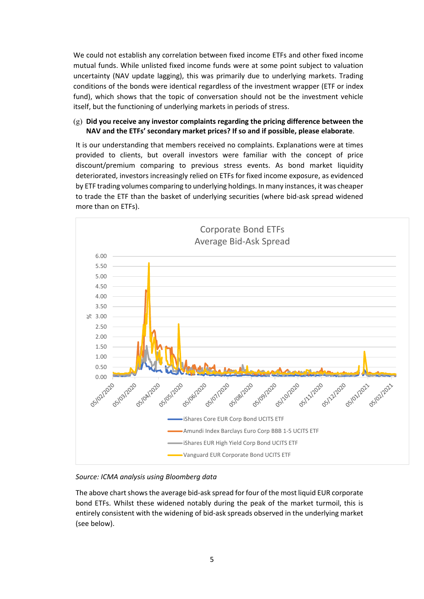We could not establish any correlation between fixed income ETFs and other fixed income mutual funds. While unlisted fixed income funds were at some point subject to valuation uncertainty (NAV update lagging), this was primarily due to underlying markets. Trading conditions of the bonds were identical regardless of the investment wrapper (ETF or index fund), which shows that the topic of conversation should not be the investment vehicle itself, but the functioning of underlying markets in periods of stress.

## (g) **Did you receive any investor complaints regarding the pricing difference between the NAV and the ETFs' secondary market prices? If so and if possible, please elaborate**.

It is our understanding that members received no complaints. Explanations were at times provided to clients, but overall investors were familiar with the concept of price discount/premium comparing to previous stress events. As bond market liquidity deteriorated, investors increasingly relied on ETFs for fixed income exposure, as evidenced by ETF trading volumes comparing to underlying holdings. In many instances, it was cheaper to trade the ETF than the basket of underlying securities (where bid-ask spread widened more than on ETFs).



*Source: ICMA analysis using Bloomberg data*

The above chart shows the average bid-ask spread for four of the most liquid EUR corporate bond ETFs. Whilst these widened notably during the peak of the market turmoil, this is entirely consistent with the widening of bid-ask spreads observed in the underlying market (see below).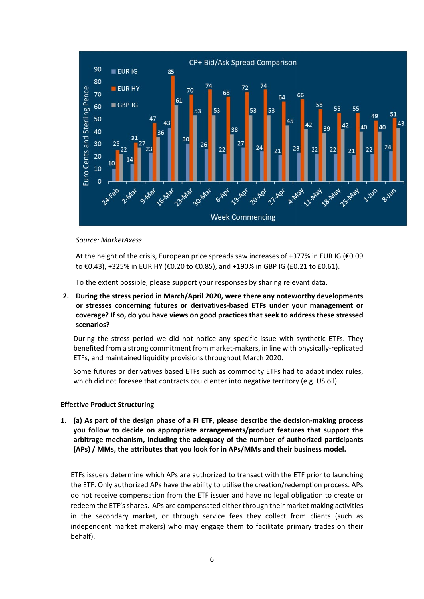

#### *Source: MarketAxess*

At the height of the crisis, European price spreads saw increases of +377% in EUR IG (€0.09 to €0.43), +325% in EUR HY (€0.20 to €0.85), and +190% in GBP IG (£0.21 to £0.61).

To the extent possible, please support your responses by sharing relevant data.

**2. During the stress period in March/April 2020, were there any noteworthy developments or stresses concerning futures or derivatives-based ETFs under your management or coverage? If so, do you have views on good practices that seek to address these stressed scenarios?**

During the stress period we did not notice any specific issue with synthetic ETFs. They benefited from a strong commitment from market-makers, in line with physically-replicated ETFs, and maintained liquidity provisions throughout March 2020.

Some futures or derivatives based ETFs such as commodity ETFs had to adapt index rules, which did not foresee that contracts could enter into negative territory (e.g. US oil).

#### **Effective Product Structuring**

**1. (a) As part of the design phase of a FI ETF, please describe the decision-making process you follow to decide on appropriate arrangements/product features that support the arbitrage mechanism, including the adequacy of the number of authorized participants (APs) / MMs, the attributes that you look for in APs/MMs and their business model.** 

ETFs issuers determine which APs are authorized to transact with the ETF prior to launching the ETF. Only authorized APs have the ability to utilise the creation/redemption process. APs do not receive compensation from the ETF issuer and have no legal obligation to create or redeem the ETF's shares. APs are compensated either through their market making activities in the secondary market, or through service fees they collect from clients (such as independent market makers) who may engage them to facilitate primary trades on their behalf).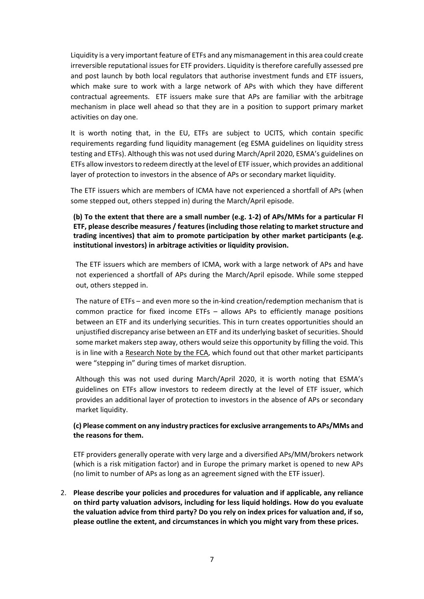Liquidity is a very important feature of ETFs and any mismanagement in this area could create irreversible reputational issues for ETF providers. Liquidity is therefore carefully assessed pre and post launch by both local regulators that authorise investment funds and ETF issuers, which make sure to work with a large network of APs with which they have different contractual agreements. ETF issuers make sure that APs are familiar with the arbitrage mechanism in place well ahead so that they are in a position to support primary market activities on day one.

It is worth noting that, in the EU, ETFs are subject to UCITS, which contain specific requirements regarding fund liquidity management (eg ESMA guidelines on liquidity stress testing and ETFs). Although this was not used during March/April 2020, ESMA's guidelines on ETFs allow investors to redeem directly at the level of ETF issuer, which provides an additional layer of protection to investors in the absence of APs or secondary market liquidity.

The ETF issuers which are members of ICMA have not experienced a shortfall of APs (when some stepped out, others stepped in) during the March/April episode.

# **(b) To the extent that there are a small number (e.g. 1-2) of APs/MMs for a particular FI ETF, please describe measures / features (including those relating to market structure and trading incentives) that aim to promote participation by other market participants (e.g. institutional investors) in arbitrage activities or liquidity provision.**

The ETF issuers which are members of ICMA, work with a large network of APs and have not experienced a shortfall of APs during the March/April episode. While some stepped out, others stepped in.

The nature of ETFs – and even more so the in-kind creation/redemption mechanism that is common practice for fixed income ETFs – allows APs to efficiently manage positions between an ETF and its underlying securities. This in turn creates opportunities should an unjustified discrepancy arise between an ETF and its underlying basket of securities. Should some market makers step away, others would seize this opportunity by filling the void. This is in line with a [Research Note by the FCA,](https://www.fca.org.uk/publication/research/fixed-income-etfs-primary-market-participation-resilience-liquidity-during-periods-stress.pdf) which found out that other market participants were "stepping in" during times of market disruption.

Although this was not used during March/April 2020, it is worth noting that ESMA's guidelines on ETFs allow investors to redeem directly at the level of ETF issuer, which provides an additional layer of protection to investors in the absence of APs or secondary market liquidity.

# **(c) Please comment on any industry practices for exclusive arrangementsto APs/MMs and the reasons for them.**

ETF providers generally operate with very large and a diversified APs/MM/brokers network (which is a risk mitigation factor) and in Europe the primary market is opened to new APs (no limit to number of APs as long as an agreement signed with the ETF issuer).

2. **Please describe your policies and procedures for valuation and if applicable, any reliance on third party valuation advisors, including for less liquid holdings. How do you evaluate the valuation advice from third party? Do you rely on index prices for valuation and, if so, please outline the extent, and circumstances in which you might vary from these prices.**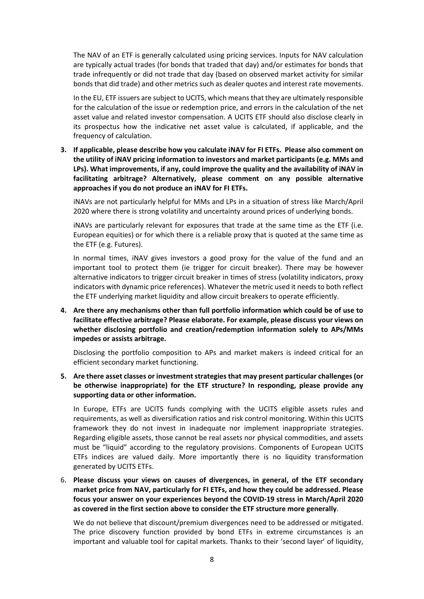The NAV of an ETF is generally calculated using pricing services. Inputs for NAV calculation are typically actual trades (for bonds that traded that day) and/or estimates for bonds that trade infrequently or did not trade that day (based on observed market activity for similar bonds that did trade) and other metrics such as dealer quotes and interest rate movements.

In the EU, ETF issuers are subject to UCITS, which means that they are ultimately responsible for the calculation of the issue or redemption price, and errors in the calculation of the net asset value and related investor compensation. A UCITS ETF should also disclose clearly in its prospectus how the indicative net asset value is calculated, if applicable, and the frequency of calculation.

**3. If applicable, please describe how you calculate iNAV for FI ETFs. Please also comment on the utility of iNAV pricing information to investors and market participants (e.g. MMs and LPs). What improvements, if any, could improve the quality and the availability of iNAV in facilitating arbitrage? Alternatively, please comment on any possible alternative approaches if you do not produce an iNAV for FI ETFs.**

iNAVs are not particularly helpful for MMs and LPs in a situation of stress like March/April 2020 where there is strong volatility and uncertainty around prices of underlying bonds.

iNAVs are particularly relevant for exposures that trade at the same time as the ETF (i.e. European equities) or for which there is a reliable proxy that is quoted at the same time as the ETF (e.g. Futures).

In normal times, iNAV gives investors a good proxy for the value of the fund and an important tool to protect them (ie trigger for circuit breaker). There may be however alternative indicators to trigger circuit breaker in times of stress (volatility indicators, proxy indicators with dynamic price references). Whatever the metric used it needs to both reflect the ETF underlying market liquidity and allow circuit breakers to operate efficiently.

**4. Are there any mechanisms other than full portfolio information which could be of use to facilitate effective arbitrage? Please elaborate. For example, please discuss your views on whether disclosing portfolio and creation/redemption information solely to APs/MMs impedes or assists arbitrage.**

Disclosing the portfolio composition to APs and market makers is indeed critical for an efficient secondary market functioning.

**5. Are there asset classes or investment strategies that may present particular challenges (or be otherwise inappropriate) for the ETF structure? In responding, please provide any supporting data or other information.**

In Europe, ETFs are UCITS funds complying with the UCITS eligible assets rules and requirements, as well as diversification ratios and risk control monitoring. Within this UCITS framework they do not invest in inadequate nor implement inappropriate strategies. Regarding eligible assets, those cannot be real assets nor physical commodities, and assets must be "liquid" according to the regulatory provisions. Components of European UCITS ETFs indices are valued daily. More importantly there is no liquidity transformation generated by UCITS ETFs.

6. **Please discuss your views on causes of divergences, in general, of the ETF secondary market price from NAV, particularly for FI ETFs, and how they could be addressed. Please focus your answer on your experiences beyond the COVID-19 stress in March/April 2020 as covered in the first section above to consider the ETF structure more generally**.

We do not believe that discount/premium divergences need to be addressed or mitigated. The price discovery function provided by bond ETFs in extreme circumstances is an important and valuable tool for capital markets. Thanks to their 'second layer' of liquidity,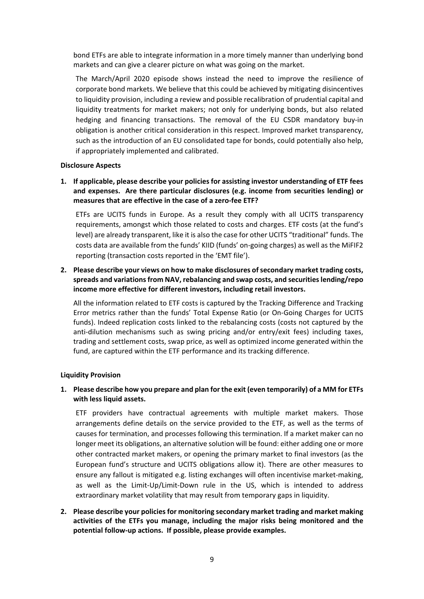bond ETFs are able to integrate information in a more timely manner than underlying bond markets and can give a clearer picture on what was going on the market.

The March/April 2020 episode shows instead the need to improve the resilience of corporate bond markets. We believe that this could be achieved by mitigating disincentives to liquidity provision, including a review and possible recalibration of prudential capital and liquidity treatments for market makers; not only for underlying bonds, but also related hedging and financing transactions. The removal of the EU CSDR mandatory buy-in obligation is another critical consideration in this respect. Improved market transparency, such as the introduction of an EU consolidated tape for bonds, could potentially also help, if appropriately implemented and calibrated.

#### **Disclosure Aspects**

**1. If applicable, please describe your policies for assisting investor understanding of ETF fees and expenses. Are there particular disclosures (e.g. income from securities lending) or measures that are effective in the case of a zero-fee ETF?** 

ETFs are UCITS funds in Europe. As a result they comply with all UCITS transparency requirements, amongst which those related to costs and charges. ETF costs (at the fund's level) are already transparent, like it is also the case for other UCITS "traditional" funds. The costs data are available from the funds' KIID (funds' on-going charges) as well as the MiFIF2 reporting (transaction costs reported in the 'EMT file').

**2. Please describe your views on how to make disclosures ofsecondary market trading costs, spreads and variations from NAV, rebalancing and swap costs, and securities lending/repo income more effective for different investors, including retail investors.**

All the information related to ETF costs is captured by the Tracking Difference and Tracking Error metrics rather than the funds' Total Expense Ratio (or On-Going Charges for UCITS funds). Indeed replication costs linked to the rebalancing costs (costs not captured by the anti-dilution mechanisms such as swing pricing and/or entry/exit fees) including taxes, trading and settlement costs, swap price, as well as optimized income generated within the fund, are captured within the ETF performance and its tracking difference.

## **Liquidity Provision**

## **1. Please describe how you prepare and plan for the exit (even temporarily) of a MM for ETFs with less liquid assets.**

ETF providers have contractual agreements with multiple market makers. Those arrangements define details on the service provided to the ETF, as well as the terms of causes for termination, and processes following this termination. If a market maker can no longer meet its obligations, an alternative solution will be found: either adding one or more other contracted market makers, or opening the primary market to final investors (as the European fund's structure and UCITS obligations allow it). There are other measures to ensure any fallout is mitigated e.g. listing exchanges will often incentivise market-making, as well as the Limit-Up/Limit-Down rule in the US, which is intended to address extraordinary market volatility that may result from temporary gaps in liquidity.

**2. Please describe your policies for monitoring secondary market trading and market making activities of the ETFs you manage, including the major risks being monitored and the potential follow-up actions. If possible, please provide examples.**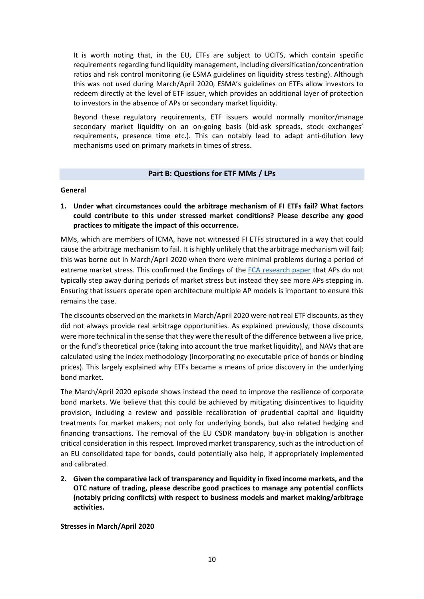It is worth noting that, in the EU, ETFs are subject to UCITS, which contain specific requirements regarding fund liquidity management, including diversification/concentration ratios and risk control monitoring (ie ESMA guidelines on liquidity stress testing). Although this was not used during March/April 2020, ESMA's guidelines on ETFs allow investors to redeem directly at the level of ETF issuer, which provides an additional layer of protection to investors in the absence of APs or secondary market liquidity.

Beyond these regulatory requirements, ETF issuers would normally monitor/manage secondary market liquidity on an on-going basis (bid-ask spreads, stock exchanges' requirements, presence time etc.). This can notably lead to adapt anti-dilution levy mechanisms used on primary markets in times of stress.

## **Part B: Questions for ETF MMs / LPs**

## **General**

**1. Under what circumstances could the arbitrage mechanism of FI ETFs fail? What factors could contribute to this under stressed market conditions? Please describe any good practices to mitigate the impact of this occurrence.** 

MMs, which are members of ICMA, have not witnessed FI ETFs structured in a way that could cause the arbitrage mechanism to fail. It is highly unlikely that the arbitrage mechanism will fail; this was borne out in March/April 2020 when there were minimal problems during a period of extreme market stress. This confirmed the findings of the [FCA research paper](https://www.fca.org.uk/publication/research/fixed-income-etfs-primary-market-participation-resilience-liquidity-during-periods-stress.pdf) that APs do not typically step away during periods of market stress but instead they see more APs stepping in. Ensuring that issuers operate open architecture multiple AP models is important to ensure this remains the case.

The discounts observed on the markets in March/April 2020 were not real ETF discounts, as they did not always provide real arbitrage opportunities. As explained previously, those discounts were more technical in the sense that they were the result of the difference between a live price, or the fund's theoretical price (taking into account the true market liquidity), and NAVs that are calculated using the index methodology (incorporating no executable price of bonds or binding prices). This largely explained why ETFs became a means of price discovery in the underlying bond market.

The March/April 2020 episode shows instead the need to improve the resilience of corporate bond markets. We believe that this could be achieved by mitigating disincentives to liquidity provision, including a review and possible recalibration of prudential capital and liquidity treatments for market makers; not only for underlying bonds, but also related hedging and financing transactions. The removal of the EU CSDR mandatory buy-in obligation is another critical consideration in this respect. Improved market transparency, such as the introduction of an EU consolidated tape for bonds, could potentially also help, if appropriately implemented and calibrated.

**2. Given the comparative lack of transparency and liquidity in fixed income markets, and the OTC nature of trading, please describe good practices to manage any potential conflicts (notably pricing conflicts) with respect to business models and market making/arbitrage activities.**

**Stresses in March/April 2020**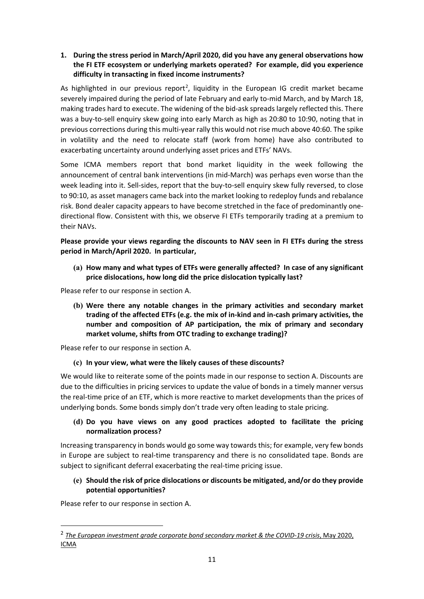# **1. During the stress period in March/April 2020, did you have any general observations how the FI ETF ecosystem or underlying markets operated? For example, did you experience difficulty in transacting in fixed income instruments?**

As highlighted in our previous report<sup>[2](#page-10-0)</sup>, liquidity in the European IG credit market became severely impaired during the period of late February and early to-mid March, and by March 18, making trades hard to execute. The widening of the bid-ask spreads largely reflected this. There was a buy-to-sell enquiry skew going into early March as high as 20:80 to 10:90, noting that in previous corrections during this multi-year rally this would not rise much above 40:60. The spike in volatility and the need to relocate staff (work from home) have also contributed to exacerbating uncertainty around underlying asset prices and ETFs' NAVs.

Some ICMA members report that bond market liquidity in the week following the announcement of central bank interventions (in mid-March) was perhaps even worse than the week leading into it. Sell-sides, report that the buy-to-sell enquiry skew fully reversed, to close to 90:10, as asset managers came back into the market looking to redeploy funds and rebalance risk. Bond dealer capacity appears to have become stretched in the face of predominantly onedirectional flow. Consistent with this, we observe FI ETFs temporarily trading at a premium to their NAVs.

# **Please provide your views regarding the discounts to NAV seen in FI ETFs during the stress period in March/April 2020. In particular,**

**(a) How many and what types of ETFs were generally affected? In case of any significant price dislocations, how long did the price dislocation typically last?**

Please refer to our response in section A.

**(b) Were there any notable changes in the primary activities and secondary market trading of the affected ETFs (e.g. the mix of in-kind and in-cash primary activities, the number and composition of AP participation, the mix of primary and secondary market volume, shifts from OTC trading to exchange trading)?**

Please refer to our response in section A.

# **(c) In your view, what were the likely causes of these discounts?**

We would like to reiterate some of the points made in our response to section A. Discounts are due to the difficulties in pricing services to update the value of bonds in a timely manner versus the real-time price of an ETF, which is more reactive to market developments than the prices of underlying bonds. Some bonds simply don't trade very often leading to stale pricing.

# **(d) Do you have views on any good practices adopted to facilitate the pricing normalization process?**

Increasing transparency in bonds would go some way towards this; for example, very few bonds in Europe are subject to real-time transparency and there is no consolidated tape. Bonds are subject to significant deferral exacerbating the real-time pricing issue.

# **(e) Should the risk of price dislocations or discounts be mitigated, and/or do they provide potential opportunities?**

Please refer to our response in section A.

<span id="page-10-0"></span><sup>&</sup>lt;sup>2</sup> [The European investment grade corporate bond secondary market & the COVID-19 crisis](https://www.icmagroup.org/Regulatory-Policy-and-Market-Practice/Secondary-Markets/market-liquidity/studies-and-papers/), May 2020, [ICMA](https://www.icmagroup.org/Regulatory-Policy-and-Market-Practice/Secondary-Markets/market-liquidity/studies-and-papers/)